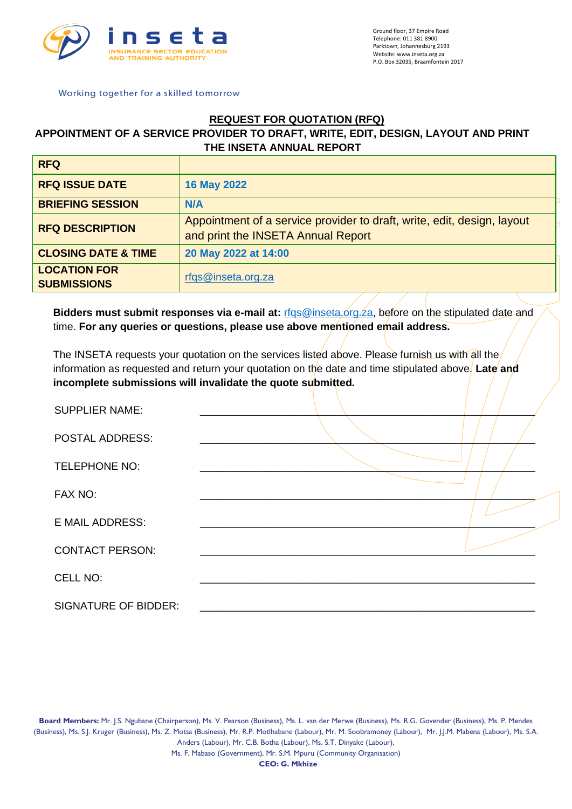

# **REQUEST FOR QUOTATION (RFQ)**

## **APPOINTMENT OF A SERVICE PROVIDER TO DRAFT, WRITE, EDIT, DESIGN, LAYOUT AND PRINT THE INSETA ANNUAL REPORT**

| <b>RFQ</b>                                |                                                                                                               |
|-------------------------------------------|---------------------------------------------------------------------------------------------------------------|
| <b>RFQ ISSUE DATE</b>                     | <b>16 May 2022</b>                                                                                            |
| <b>BRIEFING SESSION</b>                   | <b>N/A</b>                                                                                                    |
| <b>RFQ DESCRIPTION</b>                    | Appointment of a service provider to draft, write, edit, design, layout<br>and print the INSETA Annual Report |
| <b>CLOSING DATE &amp; TIME</b>            | 20 May 2022 at 14:00                                                                                          |
| <b>LOCATION FOR</b><br><b>SUBMISSIONS</b> | rfqs@inseta.org.za                                                                                            |

**Bidders must submit responses via e-mail at:** rfqs@inseta.org. za, before on the stipulated date and time. **For any queries or questions, please use above mentioned email address.**

The INSETA requests your quotation on the services listed above. Please furnish us with all the information as requested and return your quotation on the date and time stipulated above. Late and incomplete submissions will invalidate the quote submitted.

| <b>SUPPLIER NAME:</b>       |  |
|-----------------------------|--|
| POSTAL ADDRESS:             |  |
| <b>TELEPHONE NO:</b>        |  |
| FAX NO:                     |  |
| <b>E MAIL ADDRESS:</b>      |  |
| <b>CONTACT PERSON:</b>      |  |
| CELL NO:                    |  |
| <b>SIGNATURE OF BIDDER:</b> |  |

**Board Members:** Mr. J.S. Ngubane (Chairperson), Ms. V. Pearson (Business), Ms. L. van der Merwe (Business), Ms. R.G. Govender (Business), Ms. P. Mendes (Business), Ms. S.J. Kruger (Business), Ms. Z. Motsa (Business), Mr. R.P. Motlhabane (Labour), Mr. M. Soobramoney (Labour), Mr. J.J.M. Mabena (Labour), Ms. S.A. Anders (Labour), Mr. C.B. Botha (Labour), Ms. S.T. Dinyake (Labour),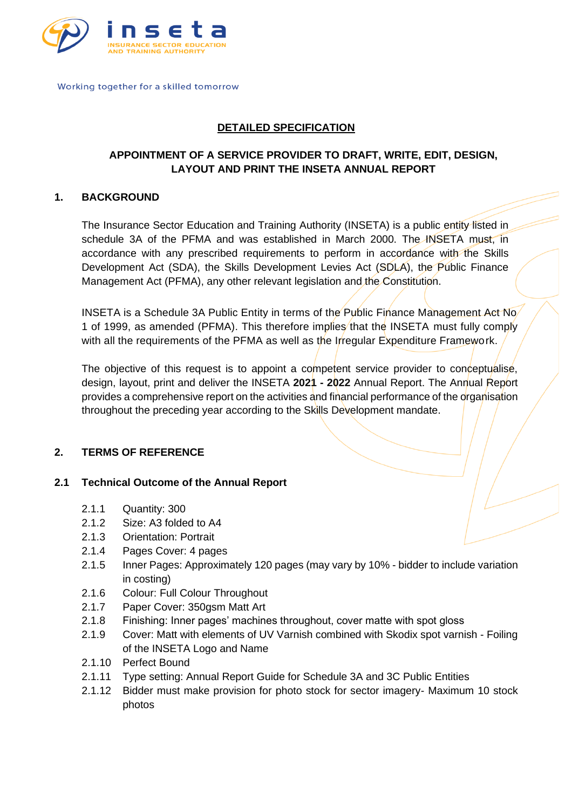

## **DETAILED SPECIFICATION**

## **APPOINTMENT OF A SERVICE PROVIDER TO DRAFT, WRITE, EDIT, DESIGN, LAYOUT AND PRINT THE INSETA ANNUAL REPORT**

## **1. BACKGROUND**

The Insurance Sector Education and Training Authority (INSETA) is a public entity listed in schedule 3A of the PFMA and was established in March 2000. The INSETA must, in accordance with any prescribed requirements to perform in accordance with the Skills Development Act (SDA), the Skills Development Levies Act (SDLA), the Public Finance Management Act (PFMA), any other relevant legislation and the Constitution.

INSETA is a Schedule 3A Public Entity in terms of the Public Finance Management Act No 1 of 1999, as amended (PFMA). This therefore implies that the INSETA must fully comply with all the requirements of the PFMA as well as the Irregular Expenditure Framework.

The objective of this request is to appoint a competent service provider to conceptualise, design, layout, print and deliver the INSETA **2021 - 2022** Annual Report. The Annual Report provides a comprehensive report on the activities and financial performance of the organisation throughout the preceding year according to the Skills Development mandate.

#### **2. TERMS OF REFERENCE**

#### **2.1 Technical Outcome of the Annual Report**

- 2.1.1 Quantity: 300
- 2.1.2 Size: A3 folded to A4
- 2.1.3 Orientation: Portrait
- 2.1.4 Pages Cover: 4 pages
- 2.1.5 Inner Pages: Approximately 120 pages (may vary by 10% bidder to include variation in costing)
- 2.1.6 Colour: Full Colour Throughout
- 2.1.7 Paper Cover: 350gsm Matt Art
- 2.1.8 Finishing: Inner pages' machines throughout, cover matte with spot gloss
- 2.1.9 Cover: Matt with elements of UV Varnish combined with Skodix spot varnish Foiling of the INSETA Logo and Name
- 2.1.10 Perfect Bound
- 2.1.11 Type setting: Annual Report Guide for Schedule 3A and 3C Public Entities
- 2.1.12 Bidder must make provision for photo stock for sector imagery- Maximum 10 stock photos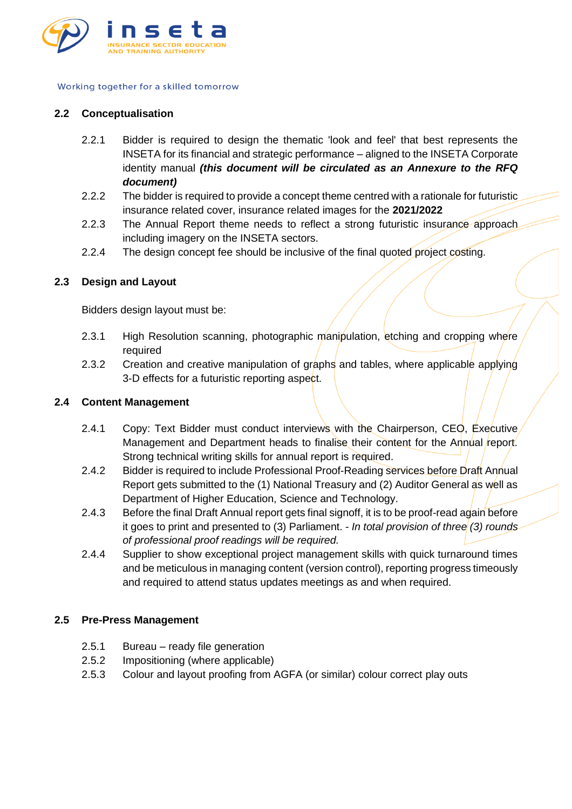

#### **2.2 Conceptualisation**

- 2.2.1 Bidder is required to design the thematic 'look and feel' that best represents the INSETA for its financial and strategic performance – aligned to the INSETA Corporate identity manual *(this document will be circulated as an Annexure to the RFQ document)*
- 2.2.2 The bidder is required to provide a concept theme centred with a rationale for futuristic insurance related cover, insurance related images for the **2021/2022**
- 2.2.3 The Annual Report theme needs to reflect a strong futuristic insurance approach including imagery on the INSETA sectors.
- 2.2.4 The design concept fee should be inclusive of the final quoted project costing.

## **2.3 Design and Layout**

Bidders design layout must be:

- 2.3.1 High Resolution scanning, photographic manipulation, etching and cropping where required
- 2.3.2 Creation and creative manipulation of graphs and tables, where applicable applying 3-D effects for a futuristic reporting aspect.

#### **2.4 Content Management**

- 2.4.1 Copy: Text Bidder must conduct interviews with the Chairperson, CEO, Executive Management and Department heads to finalise their content for the Annual report. Strong technical writing skills for annual report is required.
- 2.4.2 Bidder is required to include Professional Proof-Reading services before Draft Annual Report gets submitted to the (1) National Treasury and (2) Auditor General as well as Department of Higher Education, Science and Technology.
- 2.4.3 Before the final Draft Annual report gets final signoff, it is to be proof-read again before it goes to print and presented to (3) Parliament. - *In total provision of three (3) rounds of professional proof readings will be required.*
- 2.4.4 Supplier to show exceptional project management skills with quick turnaround times and be meticulous in managing content (version control), reporting progress timeously and required to attend status updates meetings as and when required.

#### **2.5 Pre-Press Management**

- 2.5.1 Bureau ready file generation
- 2.5.2 Impositioning (where applicable)
- 2.5.3 Colour and layout proofing from AGFA (or similar) colour correct play outs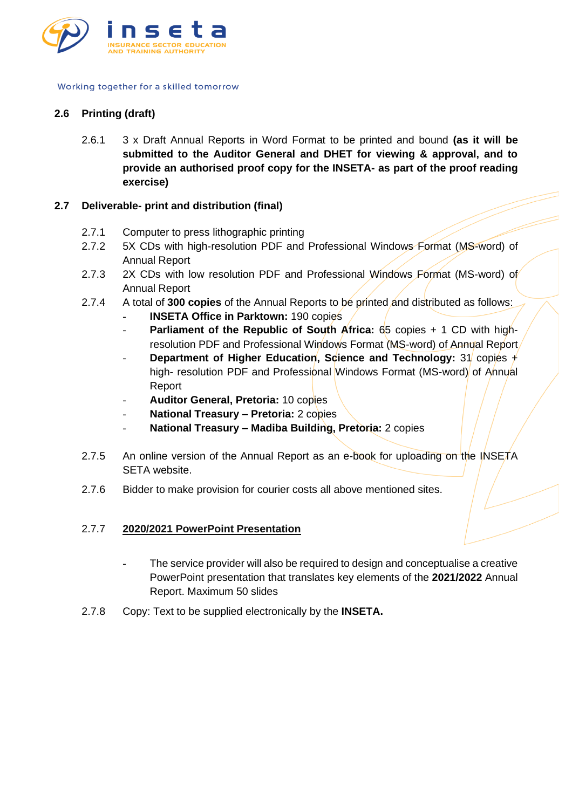

## **2.6 Printing (draft)**

2.6.1 3 x Draft Annual Reports in Word Format to be printed and bound **(as it will be submitted to the Auditor General and DHET for viewing & approval, and to provide an authorised proof copy for the INSETA- as part of the proof reading exercise)**

### **2.7 Deliverable- print and distribution (final)**

- 2.7.1 Computer to press lithographic printing
- 2.7.2 5X CDs with high-resolution PDF and Professional Windows Format (MS-word) of Annual Report
- 2.7.3 2X CDs with low resolution PDF and Professional Windows Format (MS-word) of Annual Report
- 2.7.4 A total of **300 copies** of the Annual Reports to be printed and distributed as follows:
	- **INSETA Office in Parktown: 190 copies**
	- **Parliament of the Republic of South Africa:** 65 copies + 1 CD with highresolution PDF and Professional Windows Format (MS-word) of Annual Report
	- **Department of Higher Education, Science and Technology: 31 copies +** high- resolution PDF and Professional Windows Format (MS-word) of Annual Report
	- **Auditor General, Pretoria:** 10 copies
	- **National Treasury – Pretoria:** 2 copies
	- **National Treasury – Madiba Building, Pretoria:** 2 copies
- 2.7.5 An online version of the Annual Report as an e-book for uploading on the INSETA SETA website.
- 2.7.6 Bidder to make provision for courier costs all above mentioned sites.

#### 2.7.7 **2020/2021 PowerPoint Presentation**

- The service provider will also be required to design and conceptualise a creative PowerPoint presentation that translates key elements of the **2021/2022** Annual Report. Maximum 50 slides
- 2.7.8 Copy: Text to be supplied electronically by the **INSETA.**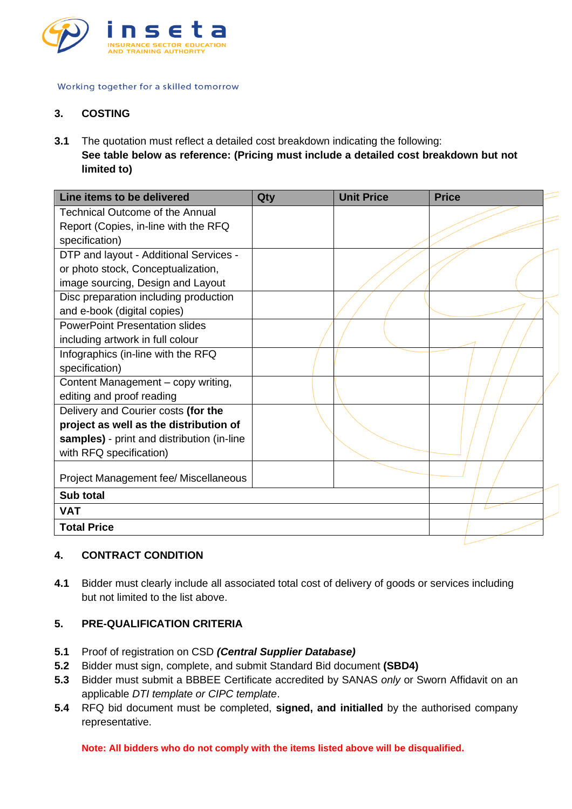

## **3. COSTING**

**3.1** The quotation must reflect a detailed cost breakdown indicating the following: **See table below as reference: (Pricing must include a detailed cost breakdown but not limited to)**

| Line items to be delivered                 | Qty | <b>Unit Price</b> | <b>Price</b> |
|--------------------------------------------|-----|-------------------|--------------|
| <b>Technical Outcome of the Annual</b>     |     |                   |              |
| Report (Copies, in-line with the RFQ       |     |                   |              |
| specification)                             |     |                   |              |
| DTP and layout - Additional Services -     |     |                   |              |
| or photo stock, Conceptualization,         |     |                   |              |
| image sourcing, Design and Layout          |     |                   |              |
| Disc preparation including production      |     |                   |              |
| and e-book (digital copies)                |     |                   |              |
| <b>PowerPoint Presentation slides</b>      |     |                   |              |
| including artwork in full colour           |     |                   |              |
| Infographics (in-line with the RFQ         |     |                   |              |
| specification)                             |     |                   |              |
| Content Management - copy writing,         |     |                   |              |
| editing and proof reading                  |     |                   |              |
| Delivery and Courier costs (for the        |     |                   |              |
| project as well as the distribution of     |     |                   |              |
| samples) - print and distribution (in-line |     |                   |              |
| with RFQ specification)                    |     |                   |              |
|                                            |     |                   |              |
| Project Management fee/ Miscellaneous      |     |                   |              |
| Sub total                                  |     |                   |              |
| <b>VAT</b>                                 |     |                   |              |
| <b>Total Price</b>                         |     |                   |              |

#### **4. CONTRACT CONDITION**

**4.1** Bidder must clearly include all associated total cost of delivery of goods or services including but not limited to the list above.

## **5. PRE-QUALIFICATION CRITERIA**

- **5.1** Proof of registration on CSD *(Central Supplier Database)*
- **5.2** Bidder must sign, complete, and submit Standard Bid document **(SBD4)**
- **5.3** Bidder must submit a BBBEE Certificate accredited by SANAS *only* or Sworn Affidavit on an applicable *DTI template or CIPC template*.
- **5.4** RFQ bid document must be completed, **signed, and initialled** by the authorised company representative.

**Note: All bidders who do not comply with the items listed above will be disqualified.**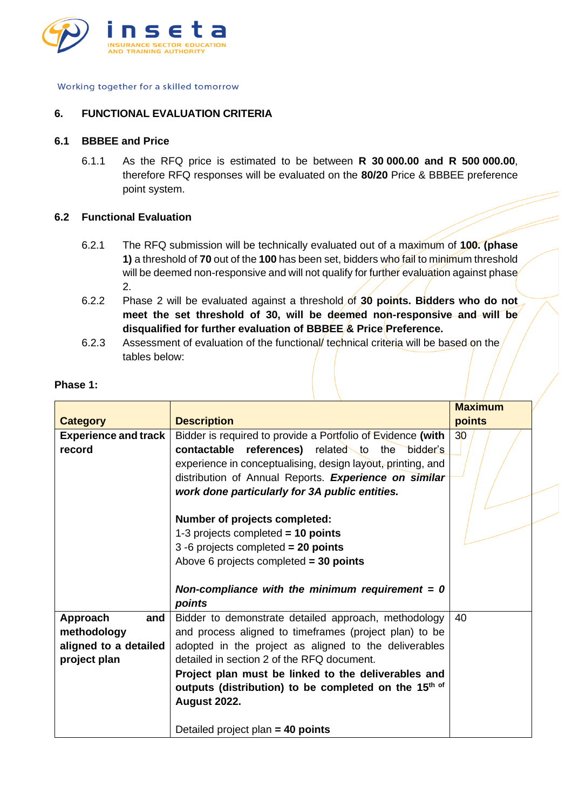

#### **6. FUNCTIONAL EVALUATION CRITERIA**

#### **6.1 BBBEE and Price**

6.1.1 As the RFQ price is estimated to be between **R 30 000.00 and R 500 000.00**, therefore RFQ responses will be evaluated on the **80/20** Price & BBBEE preference point system.

#### **6.2 Functional Evaluation**

- 6.2.1 The RFQ submission will be technically evaluated out of a maximum of **100. (phase 1)** a threshold of **70** out of the **100** has been set, bidders who fail to minimum threshold will be deemed non-responsive and will not qualify for further evaluation against phase 2.
- 6.2.2 Phase 2 will be evaluated against a threshold of **30 points. Bidders who do not meet the set threshold of 30, will be deemed non-responsive and will be disqualified for further evaluation of BBBEE & Price Preference.**
- 6.2.3 Assessment of evaluation of the functional/ technical criteria will be based on the tables below:

| Phase 1: |  |  |
|----------|--|--|
|          |  |  |

|                                                                         |                                                                                                                                                                                                                                                                                                                                                                                                                 | <b>Maximum</b>  |
|-------------------------------------------------------------------------|-----------------------------------------------------------------------------------------------------------------------------------------------------------------------------------------------------------------------------------------------------------------------------------------------------------------------------------------------------------------------------------------------------------------|-----------------|
| <b>Category</b>                                                         | <b>Description</b>                                                                                                                                                                                                                                                                                                                                                                                              | points          |
| <b>Experience and track</b><br>record                                   | Bidder is required to provide a Portfolio of Evidence (with<br><b>contactable</b> references) related to the bidder's<br>experience in conceptualising, design layout, printing, and<br>distribution of Annual Reports. Experience on similar                                                                                                                                                                   | 30 <sup>o</sup> |
|                                                                         | work done particularly for 3A public entities.<br>Number of projects completed:<br>1-3 projects completed $= 10$ points<br>3 -6 projects completed $= 20$ points<br>Above 6 projects completed $=$ 30 points<br>Non-compliance with the minimum requirement = $0$<br>points                                                                                                                                     |                 |
| Approach<br>and<br>methodology<br>aligned to a detailed<br>project plan | Bidder to demonstrate detailed approach, methodology<br>and process aligned to timeframes (project plan) to be<br>adopted in the project as aligned to the deliverables<br>detailed in section 2 of the RFQ document.<br>Project plan must be linked to the deliverables and<br>outputs (distribution) to be completed on the 15 <sup>th of</sup><br><b>August 2022.</b><br>Detailed project plan $=$ 40 points | 40              |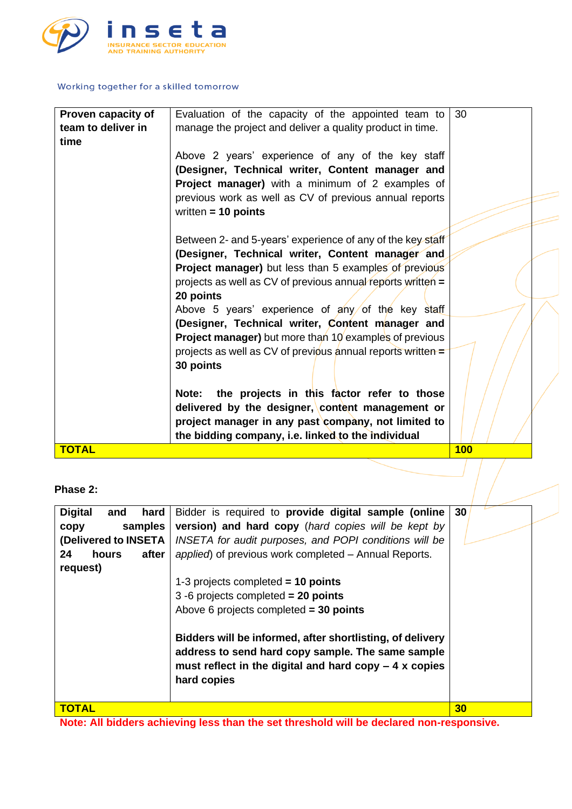

| Proven capacity of | Evaluation of the capacity of the appointed team to           | 30  |  |
|--------------------|---------------------------------------------------------------|-----|--|
| team to deliver in | manage the project and deliver a quality product in time.     |     |  |
| time               |                                                               |     |  |
|                    |                                                               |     |  |
|                    | Above 2 years' experience of any of the key staff             |     |  |
|                    | (Designer, Technical writer, Content manager and              |     |  |
|                    | Project manager) with a minimum of 2 examples of              |     |  |
|                    |                                                               |     |  |
|                    | previous work as well as CV of previous annual reports        |     |  |
|                    | written $= 10$ points                                         |     |  |
|                    |                                                               |     |  |
|                    | Between 2- and 5-years' experience of any of the key staff    |     |  |
|                    |                                                               |     |  |
|                    | (Designer, Technical writer, Content manager and              |     |  |
|                    | Project manager) but less than 5 examples of previous         |     |  |
|                    | projects as well as CV of previous annual reports written =   |     |  |
|                    | 20 points                                                     |     |  |
|                    | Above 5 years' experience of any of the key staff             |     |  |
|                    |                                                               |     |  |
|                    | (Designer, Technical writer, Content manager and              |     |  |
|                    | Project manager) but more than 10 examples of previous        |     |  |
|                    | projects as well as CV of previous annual reports written $=$ |     |  |
|                    | 30 points                                                     |     |  |
|                    |                                                               |     |  |
|                    |                                                               |     |  |
|                    | Note: the projects in this factor refer to those              |     |  |
|                    | delivered by the designer, content management or              |     |  |
|                    | project manager in any past company, not limited to           |     |  |
|                    |                                                               |     |  |
|                    | the bidding company, i.e. linked to the individual            |     |  |
| <b>TOTAL</b>       |                                                               | 100 |  |

## **Phase 2:**

| <b>Digital</b><br>hard<br>and | Bidder is required to provide digital sample (online                                                                                                                                    | 30 |
|-------------------------------|-----------------------------------------------------------------------------------------------------------------------------------------------------------------------------------------|----|
| samples<br>copy               | version) and hard copy (hard copies will be kept by                                                                                                                                     |    |
| (Delivered to INSETA          | INSETA for audit purposes, and POPI conditions will be                                                                                                                                  |    |
| after<br>24<br>hours          | applied) of previous work completed – Annual Reports.                                                                                                                                   |    |
| request)                      |                                                                                                                                                                                         |    |
|                               | 1-3 projects completed $= 10$ points                                                                                                                                                    |    |
|                               | 3 -6 projects completed $= 20$ points                                                                                                                                                   |    |
|                               | Above 6 projects completed $=$ 30 points                                                                                                                                                |    |
|                               | Bidders will be informed, after shortlisting, of delivery<br>address to send hard copy sample. The same sample<br>must reflect in the digital and hard copy $-4x$ copies<br>hard copies |    |
| <b>TOTAL</b>                  |                                                                                                                                                                                         | 30 |

**Note: All bidders achieving less than the set threshold will be declared non-responsive.**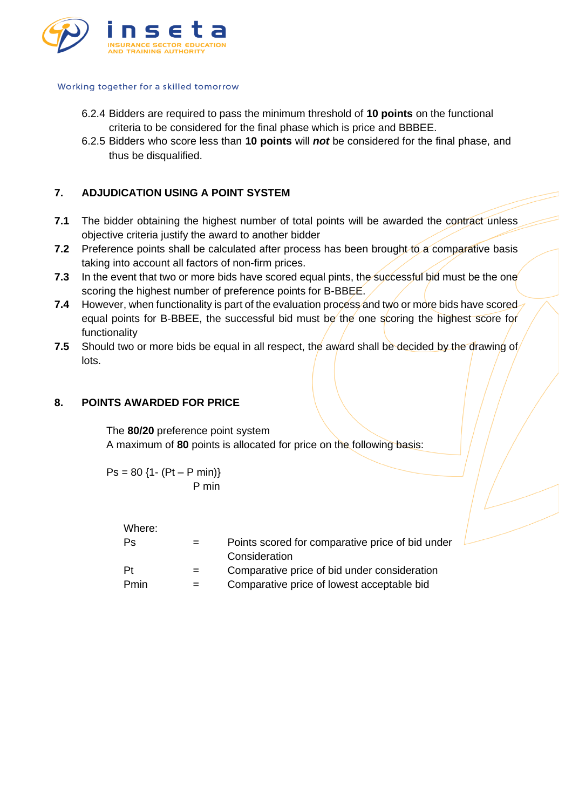

- 6.2.4 Bidders are required to pass the minimum threshold of **10 points** on the functional criteria to be considered for the final phase which is price and BBBEE.
- 6.2.5 Bidders who score less than **10 points** will *not* be considered for the final phase, and thus be disqualified.

## **7. ADJUDICATION USING A POINT SYSTEM**

- **7.1** The bidder obtaining the highest number of total points will be awarded the contract unless objective criteria justify the award to another bidder
- **7.2** Preference points shall be calculated after process has been brought to a comparative basis taking into account all factors of non-firm prices.
- **7.3** In the event that two or more bids have scored equal pints, the successful bid must be the one scoring the highest number of preference points for B-BBEE.
- **7.4** However, when functionality is part of the evaluation process and two or more bids have scored equal points for B-BBEE, the successful bid must be the one scoring the highest score for functionality
- **7.5** Should two or more bids be equal in all respect, the award shall be decided by the drawing of lots.

### **8. POINTS AWARDED FOR PRICE**

The **80/20** preference point system A maximum of **80** points is allocated for price on the following basis:

 $Ps = 80$  {1- (Pt – P min)} P min

Where:

| Ps   | $=$ | Points scored for comparative price of bid under<br>Consideration |
|------|-----|-------------------------------------------------------------------|
| -Pt  | $=$ | Comparative price of bid under consideration                      |
| Pmin | $=$ | Comparative price of lowest acceptable bid                        |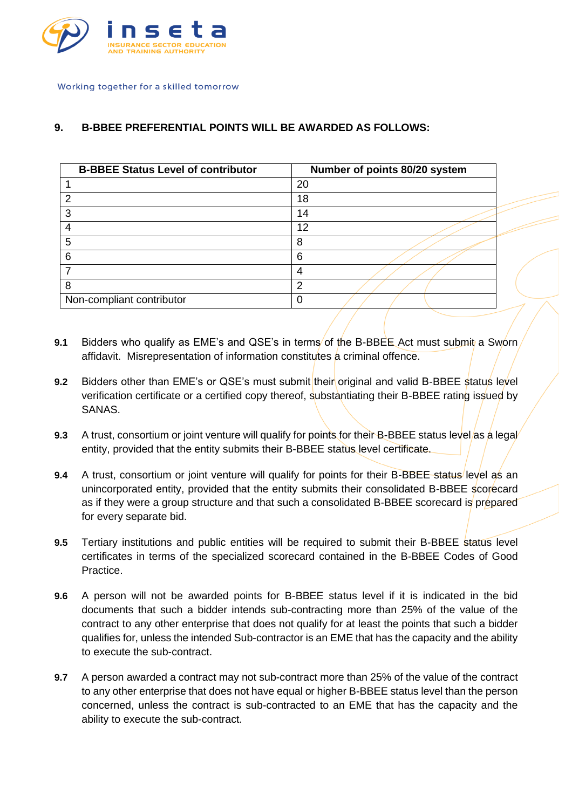

## **9. B-BBEE PREFERENTIAL POINTS WILL BE AWARDED AS FOLLOWS:**

| <b>B-BBEE Status Level of contributor</b> | Number of points 80/20 system |
|-------------------------------------------|-------------------------------|
|                                           | 20                            |
| 2                                         | 18                            |
| 3                                         | 14                            |
| 4                                         | 12                            |
| 5                                         | 8                             |
| 6                                         | 6                             |
|                                           | Δ                             |
| 8                                         | າ                             |
| Non-compliant contributor                 |                               |

- **9.1** Bidders who qualify as EME's and QSE's in terms of the B-BBEE Act must submit a Sworn affidavit. Misrepresentation of information constitutes a criminal offence.
- **9.2** Bidders other than EME's or QSE's must submit their original and valid B-BBEE status level verification certificate or a certified copy thereof, substantiating their B-BBEE rating issued by SANAS.
- **9.3** A trust, consortium or joint venture will qualify for points for their B-BBEE status level/as a legal entity, provided that the entity submits their B-BBEE status level certificate.
- **9.4** A trust, consortium or joint venture will qualify for points for their B-BBEE status level as an unincorporated entity, provided that the entity submits their consolidated B-BBEE scorecard as if they were a group structure and that such a consolidated B-BBEE scorecard is prepared for every separate bid.
- **9.5** Tertiary institutions and public entities will be required to submit their B-BBEE status level certificates in terms of the specialized scorecard contained in the B-BBEE Codes of Good Practice.
- **9.6** A person will not be awarded points for B-BBEE status level if it is indicated in the bid documents that such a bidder intends sub-contracting more than 25% of the value of the contract to any other enterprise that does not qualify for at least the points that such a bidder qualifies for, unless the intended Sub-contractor is an EME that has the capacity and the ability to execute the sub-contract.
- **9.7** A person awarded a contract may not sub-contract more than 25% of the value of the contract to any other enterprise that does not have equal or higher B-BBEE status level than the person concerned, unless the contract is sub-contracted to an EME that has the capacity and the ability to execute the sub-contract.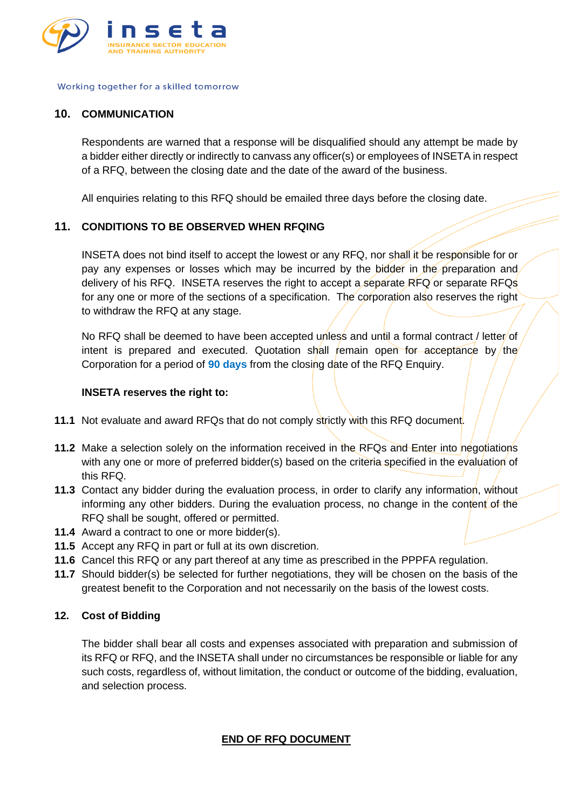

#### **10. COMMUNICATION**

Respondents are warned that a response will be disqualified should any attempt be made by a bidder either directly or indirectly to canvass any officer(s) or employees of INSETA in respect of a RFQ, between the closing date and the date of the award of the business.

All enquiries relating to this RFQ should be emailed three days before the closing date.

## **11. CONDITIONS TO BE OBSERVED WHEN RFQING**

INSETA does not bind itself to accept the lowest or any RFQ, nor shall it be responsible for or pay any expenses or losses which may be incurred by the bidder in the preparation and delivery of his RFQ. INSETA reserves the right to accept a separate RFQ or separate RFQs for any one or more of the sections of a specification. The corporation also reserves the right to withdraw the RFQ at any stage.

No RFQ shall be deemed to have been accepted unless and until a formal contract / letter/of intent is prepared and executed. Quotation shall remain open for acceptance by the Corporation for a period of **90 days** from the closing date of the RFQ Enquiry.

#### **INSETA reserves the right to:**

- **11.1** Not evaluate and award RFQs that do not comply strictly with this RFQ document.
- **11.2** Make a selection solely on the information received in the RFQs and Enter into negotiations with any one or more of preferred bidder(s) based on the criteria specified in the evaluation of this RFQ.
- **11.3** Contact any bidder during the evaluation process, in order to clarify any information, without informing any other bidders. During the evaluation process, no change in the content of the RFQ shall be sought, offered or permitted.
- **11.4** Award a contract to one or more bidder(s).
- **11.5** Accept any RFQ in part or full at its own discretion.
- **11.6** Cancel this RFQ or any part thereof at any time as prescribed in the PPPFA regulation.
- **11.7** Should bidder(s) be selected for further negotiations, they will be chosen on the basis of the greatest benefit to the Corporation and not necessarily on the basis of the lowest costs.

#### **12. Cost of Bidding**

The bidder shall bear all costs and expenses associated with preparation and submission of its RFQ or RFQ, and the INSETA shall under no circumstances be responsible or liable for any such costs, regardless of, without limitation, the conduct or outcome of the bidding, evaluation, and selection process.

## **END OF RFQ DOCUMENT**